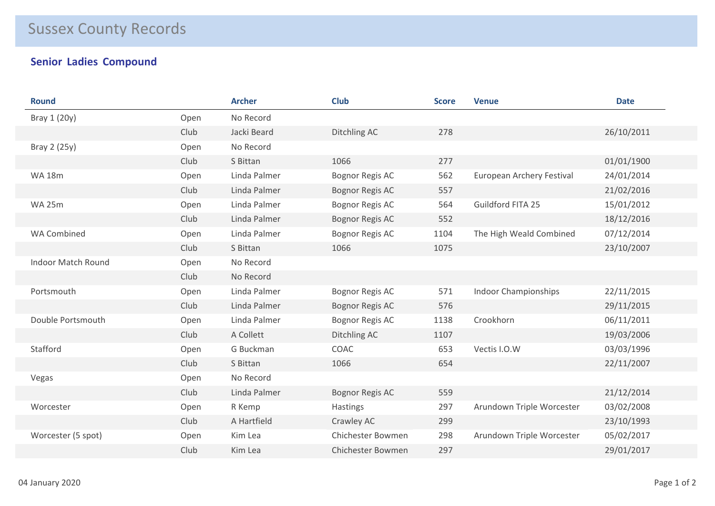## Sussex County Records

## **Senior Ladies Compound**

| <b>Round</b>              |      | <b>Archer</b> | <b>Club</b>              | <b>Score</b> | <b>Venue</b>                | <b>Date</b> |
|---------------------------|------|---------------|--------------------------|--------------|-----------------------------|-------------|
| Bray 1 (20y)              | Open | No Record     |                          |              |                             |             |
|                           | Club | Jacki Beard   | Ditchling AC             | 278          |                             | 26/10/2011  |
| Bray 2 (25y)              | Open | No Record     |                          |              |                             |             |
|                           | Club | S Bittan      | 1066                     | 277          |                             | 01/01/1900  |
| <b>WA 18m</b>             | Open | Linda Palmer  | Bognor Regis AC          | 562          | European Archery Festival   | 24/01/2014  |
|                           | Club | Linda Palmer  | <b>Bognor Regis AC</b>   | 557          |                             | 21/02/2016  |
| <b>WA 25m</b>             | Open | Linda Palmer  | Bognor Regis AC          | 564          | Guildford FITA 25           | 15/01/2012  |
|                           | Club | Linda Palmer  | <b>Bognor Regis AC</b>   | 552          |                             | 18/12/2016  |
| <b>WA Combined</b>        | Open | Linda Palmer  | <b>Bognor Regis AC</b>   | 1104         | The High Weald Combined     | 07/12/2014  |
|                           | Club | S Bittan      | 1066                     | 1075         |                             | 23/10/2007  |
| <b>Indoor Match Round</b> | Open | No Record     |                          |              |                             |             |
|                           | Club | No Record     |                          |              |                             |             |
| Portsmouth                | Open | Linda Palmer  | Bognor Regis AC          | 571          | <b>Indoor Championships</b> | 22/11/2015  |
|                           | Club | Linda Palmer  | Bognor Regis AC          | 576          |                             | 29/11/2015  |
| Double Portsmouth         | Open | Linda Palmer  | <b>Bognor Regis AC</b>   | 1138         | Crookhorn                   | 06/11/2011  |
|                           | Club | A Collett     | Ditchling AC             | 1107         |                             | 19/03/2006  |
| Stafford                  | Open | G Buckman     | COAC                     | 653          | Vectis I.O.W                | 03/03/1996  |
|                           | Club | S Bittan      | 1066                     | 654          |                             | 22/11/2007  |
| Vegas                     | Open | No Record     |                          |              |                             |             |
|                           | Club | Linda Palmer  | Bognor Regis AC          | 559          |                             | 21/12/2014  |
| Worcester                 | Open | R Kemp        | Hastings                 | 297          | Arundown Triple Worcester   | 03/02/2008  |
|                           | Club | A Hartfield   | Crawley AC               | 299          |                             | 23/10/1993  |
| Worcester (5 spot)        | Open | Kim Lea       | Chichester Bowmen        | 298          | Arundown Triple Worcester   | 05/02/2017  |
|                           | Club | Kim Lea       | <b>Chichester Bowmen</b> | 297          |                             | 29/01/2017  |